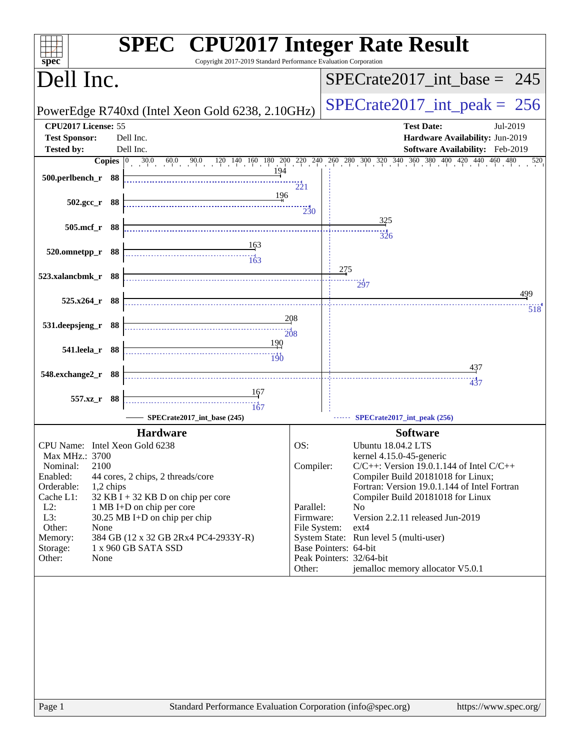| spec <sup>®</sup>                                | <b>SPEC<sup>®</sup></b> CPU2017 Integer Rate Result<br>Copyright 2017-2019 Standard Performance Evaluation Corporation |                                                   |                                                                                                                                                                                                                            |
|--------------------------------------------------|------------------------------------------------------------------------------------------------------------------------|---------------------------------------------------|----------------------------------------------------------------------------------------------------------------------------------------------------------------------------------------------------------------------------|
| Dell Inc.                                        |                                                                                                                        |                                                   | $SPECTate2017\_int\_base = 245$                                                                                                                                                                                            |
|                                                  | PowerEdge R740xd (Intel Xeon Gold 6238, 2.10GHz)                                                                       |                                                   | $SPECrate2017\_int\_peak = 256$                                                                                                                                                                                            |
| CPU2017 License: 55<br><b>Test Sponsor:</b>      | Dell Inc.                                                                                                              |                                                   | <b>Test Date:</b><br>Jul-2019<br>Hardware Availability: Jun-2019                                                                                                                                                           |
| <b>Tested by:</b>                                | Dell Inc.                                                                                                              |                                                   | Software Availability: Feb-2019<br><b>Copies</b> $\begin{bmatrix} 0 & 30.0 & 60.0 & 90.0 & 120 & 140 & 160 & 180 & 200 & 220 & 240 & 260 & 300 & 320 & 340 & 360 & 380 & 400 & 420 & 440 & 460 & 480 \end{bmatrix}$<br>520 |
| 500.perlbench_r 88                               | 194                                                                                                                    | $\frac{1}{221}$                                   |                                                                                                                                                                                                                            |
| $502.\text{gcc r}$ 88                            | 196                                                                                                                    | 230                                               |                                                                                                                                                                                                                            |
| 505.mcf_r 88                                     |                                                                                                                        |                                                   | 325<br>326                                                                                                                                                                                                                 |
| 520.omnetpp_r 88                                 |                                                                                                                        |                                                   |                                                                                                                                                                                                                            |
| 523.xalancbmk_r 88                               |                                                                                                                        |                                                   | 275                                                                                                                                                                                                                        |
| $525.x264$ r 88                                  |                                                                                                                        |                                                   | $\frac{1}{297}$<br>499                                                                                                                                                                                                     |
|                                                  |                                                                                                                        | 208                                               | 518                                                                                                                                                                                                                        |
| 531.deepsjeng_r 88                               | 190                                                                                                                    |                                                   |                                                                                                                                                                                                                            |
| 541.leela_r 88                                   | 190                                                                                                                    |                                                   |                                                                                                                                                                                                                            |
| 548.exchange2_r 88                               |                                                                                                                        |                                                   | <u>437</u><br>437                                                                                                                                                                                                          |
| 557.xz_r 88                                      | 167                                                                                                                    |                                                   |                                                                                                                                                                                                                            |
|                                                  | 167<br>SPECrate2017_int_base (245)                                                                                     |                                                   | SPECrate2017_int_peak (256)                                                                                                                                                                                                |
|                                                  | <b>Hardware</b>                                                                                                        |                                                   | <b>Software</b>                                                                                                                                                                                                            |
| CPU Name: Intel Xeon Gold 6238<br>Max MHz.: 3700 |                                                                                                                        | OS:                                               | Ubuntu 18.04.2 LTS<br>kernel 4.15.0-45-generic                                                                                                                                                                             |
| Nominal:<br>2100                                 |                                                                                                                        | Compiler:                                         | $C/C++$ : Version 19.0.1.144 of Intel $C/C++$                                                                                                                                                                              |
| Enabled:<br>Orderable:<br>1,2 chips              | 44 cores, 2 chips, 2 threads/core                                                                                      |                                                   | Compiler Build 20181018 for Linux;<br>Fortran: Version 19.0.1.144 of Intel Fortran                                                                                                                                         |
| Cache L1:<br>$L2$ :                              | 32 KB I + 32 KB D on chip per core<br>1 MB I+D on chip per core                                                        | Parallel:                                         | Compiler Build 20181018 for Linux<br>N <sub>0</sub>                                                                                                                                                                        |
| L3:<br>Other:<br>None                            | 30.25 MB I+D on chip per chip                                                                                          | Firmware:<br>File System:                         | Version 2.2.11 released Jun-2019<br>$ext{4}$                                                                                                                                                                               |
| Memory:                                          | 384 GB (12 x 32 GB 2Rx4 PC4-2933Y-R)                                                                                   |                                                   | System State: Run level 5 (multi-user)                                                                                                                                                                                     |
| Storage:<br>Other:<br>None                       | 1 x 960 GB SATA SSD                                                                                                    | Base Pointers: 64-bit<br>Peak Pointers: 32/64-bit |                                                                                                                                                                                                                            |
|                                                  |                                                                                                                        | Other:                                            | jemalloc memory allocator V5.0.1                                                                                                                                                                                           |
|                                                  |                                                                                                                        |                                                   |                                                                                                                                                                                                                            |
|                                                  |                                                                                                                        |                                                   |                                                                                                                                                                                                                            |
| Page 1                                           | Standard Performance Evaluation Corporation (info@spec.org)                                                            |                                                   | https://www.spec.org/                                                                                                                                                                                                      |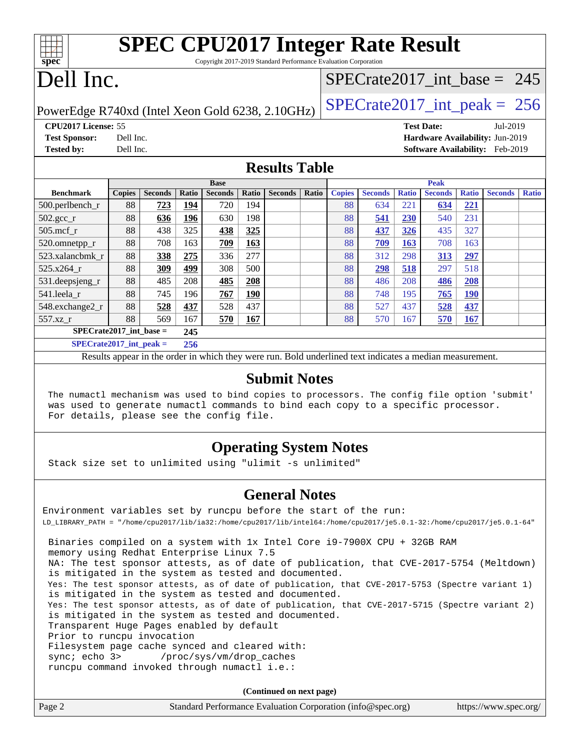| <b>SPEC CPU2017 Integer Rate Result</b>                         |
|-----------------------------------------------------------------|
| Convright 2017-2019 Standard Performance Evaluation Cornoration |

Copyright 2017-2019 Standard Performance Evaluation Corporation

# Dell Inc.

**[spec](http://www.spec.org/)**

### [SPECrate2017\\_int\\_base =](http://www.spec.org/auto/cpu2017/Docs/result-fields.html#SPECrate2017intbase) 245

PowerEdge R740xd (Intel Xeon Gold 6238, 2.10GHz)  $\left|$  [SPECrate2017\\_int\\_peak =](http://www.spec.org/auto/cpu2017/Docs/result-fields.html#SPECrate2017intpeak) 256

**[CPU2017 License:](http://www.spec.org/auto/cpu2017/Docs/result-fields.html#CPU2017License)** 55 **[Test Date:](http://www.spec.org/auto/cpu2017/Docs/result-fields.html#TestDate)** Jul-2019 **[Test Sponsor:](http://www.spec.org/auto/cpu2017/Docs/result-fields.html#TestSponsor)** Dell Inc. **[Hardware Availability:](http://www.spec.org/auto/cpu2017/Docs/result-fields.html#HardwareAvailability)** Jun-2019

**[Tested by:](http://www.spec.org/auto/cpu2017/Docs/result-fields.html#Testedby)** Dell Inc. **[Software Availability:](http://www.spec.org/auto/cpu2017/Docs/result-fields.html#SoftwareAvailability)** Feb-2019

### **[Results Table](http://www.spec.org/auto/cpu2017/Docs/result-fields.html#ResultsTable)**

|                             | <b>Base</b>   |                |       |                |            | <b>Peak</b>    |       |               |                |              |                |              |                |              |
|-----------------------------|---------------|----------------|-------|----------------|------------|----------------|-------|---------------|----------------|--------------|----------------|--------------|----------------|--------------|
| <b>Benchmark</b>            | <b>Copies</b> | <b>Seconds</b> | Ratio | <b>Seconds</b> | Ratio      | <b>Seconds</b> | Ratio | <b>Copies</b> | <b>Seconds</b> | <b>Ratio</b> | <b>Seconds</b> | <b>Ratio</b> | <b>Seconds</b> | <b>Ratio</b> |
| 500.perlbench_r             | 88            | 723            | 194   | 720            | 194        |                |       | 88            | 634            | 221          | 634            | 221          |                |              |
| $502.\text{gcc}_r$          | 88            | 636            | 196   | 630            | 198        |                |       | 88            | 541            | 230          | 540            | 231          |                |              |
| $505$ .mcf r                | 88            | 438            | 325   | 438            | 325        |                |       | 88            | 437            | 326          | 435            | 327          |                |              |
| 520.omnetpp_r               | 88            | 708            | 163   | 709            | 163        |                |       | 88            | 709            | 163          | 708            | 163          |                |              |
| 523.xalancbmk r             | 88            | 338            | 275   | 336            | 277        |                |       | 88            | 312            | 298          | 313            | 297          |                |              |
| 525.x264 r                  | 88            | 309            | 499   | 308            | 500        |                |       | 88            | 298            | 518          | 297            | 518          |                |              |
| 531.deepsjeng_r             | 88            | 485            | 208   | 485            | 208        |                |       | 88            | 486            | 208          | 486            | <b>208</b>   |                |              |
| 541.leela r                 | 88            | 745            | 196   | 767            | <u>190</u> |                |       | 88            | 748            | 195          | 765            | <u>190</u>   |                |              |
| 548.exchange2_r             | 88            | 528            | 437   | 528            | 437        |                |       | 88            | 527            | 437          | 528            | 437          |                |              |
| 557.xz r                    | 88            | 569            | 167   | 570            | 167        |                |       | 88            | 570            | 167          | 570            | 167          |                |              |
| $SPECrate2017$ int base =   |               |                | 245   |                |            |                |       |               |                |              |                |              |                |              |
| $SPECrate2017\_int\_peak =$ |               |                | 256   |                |            |                |       |               |                |              |                |              |                |              |

Results appear in the [order in which they were run](http://www.spec.org/auto/cpu2017/Docs/result-fields.html#RunOrder). Bold underlined text [indicates a median measurement](http://www.spec.org/auto/cpu2017/Docs/result-fields.html#Median).

### **[Submit Notes](http://www.spec.org/auto/cpu2017/Docs/result-fields.html#SubmitNotes)**

 The numactl mechanism was used to bind copies to processors. The config file option 'submit' was used to generate numactl commands to bind each copy to a specific processor. For details, please see the config file.

### **[Operating System Notes](http://www.spec.org/auto/cpu2017/Docs/result-fields.html#OperatingSystemNotes)**

Stack size set to unlimited using "ulimit -s unlimited"

### **[General Notes](http://www.spec.org/auto/cpu2017/Docs/result-fields.html#GeneralNotes)**

Environment variables set by runcpu before the start of the run: LD\_LIBRARY\_PATH = "/home/cpu2017/lib/ia32:/home/cpu2017/lib/intel64:/home/cpu2017/je5.0.1-32:/home/cpu2017/je5.0.1-64" Binaries compiled on a system with 1x Intel Core i9-7900X CPU + 32GB RAM memory using Redhat Enterprise Linux 7.5 NA: The test sponsor attests, as of date of publication, that CVE-2017-5754 (Meltdown) is mitigated in the system as tested and documented. Yes: The test sponsor attests, as of date of publication, that CVE-2017-5753 (Spectre variant 1) is mitigated in the system as tested and documented. Yes: The test sponsor attests, as of date of publication, that CVE-2017-5715 (Spectre variant 2) is mitigated in the system as tested and documented. Transparent Huge Pages enabled by default Prior to runcpu invocation Filesystem page cache synced and cleared with: sync; echo 3> /proc/sys/vm/drop\_caches runcpu command invoked through numactl i.e.:

**(Continued on next page)**

| Page 2 | Standard Performance Evaluation Corporation (info@spec.org) | https://www.spec.org/ |
|--------|-------------------------------------------------------------|-----------------------|
|--------|-------------------------------------------------------------|-----------------------|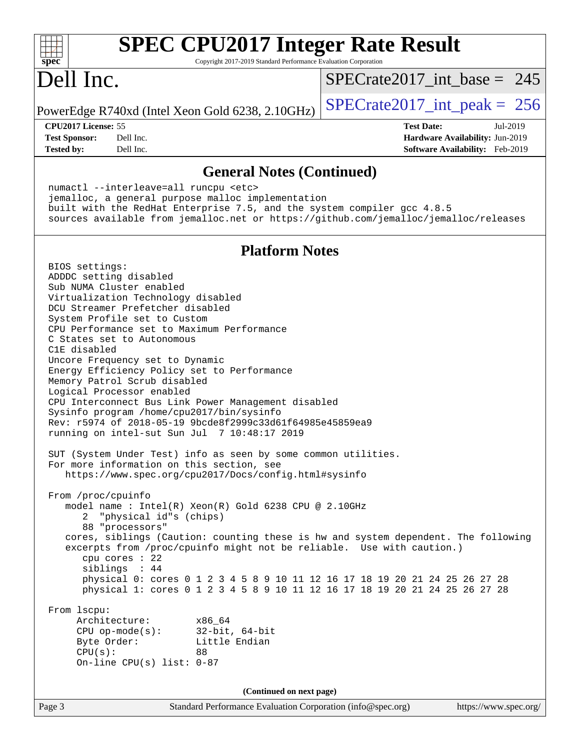| $spec^*$                                                         |                                                                                                                                                                                                                                                                                                                                                                              | <b>SPEC CPU2017 Integer Rate Result</b><br>Copyright 2017-2019 Standard Performance Evaluation Corporation                                                                                                                                                                                                                                                                                                                                                                                                                                                                                                                                                                                                                                                                                                                                                               |                                                                                         |          |
|------------------------------------------------------------------|------------------------------------------------------------------------------------------------------------------------------------------------------------------------------------------------------------------------------------------------------------------------------------------------------------------------------------------------------------------------------|--------------------------------------------------------------------------------------------------------------------------------------------------------------------------------------------------------------------------------------------------------------------------------------------------------------------------------------------------------------------------------------------------------------------------------------------------------------------------------------------------------------------------------------------------------------------------------------------------------------------------------------------------------------------------------------------------------------------------------------------------------------------------------------------------------------------------------------------------------------------------|-----------------------------------------------------------------------------------------|----------|
| Dell Inc.                                                        |                                                                                                                                                                                                                                                                                                                                                                              |                                                                                                                                                                                                                                                                                                                                                                                                                                                                                                                                                                                                                                                                                                                                                                                                                                                                          | $SPECrate2017$ int base = 245                                                           |          |
|                                                                  |                                                                                                                                                                                                                                                                                                                                                                              | PowerEdge R740xd (Intel Xeon Gold 6238, 2.10GHz)                                                                                                                                                                                                                                                                                                                                                                                                                                                                                                                                                                                                                                                                                                                                                                                                                         | $SPECTate2017\_int\_peak = 256$                                                         |          |
| CPU2017 License: 55<br><b>Test Sponsor:</b><br><b>Tested by:</b> | Dell Inc.<br>Dell Inc.                                                                                                                                                                                                                                                                                                                                                       |                                                                                                                                                                                                                                                                                                                                                                                                                                                                                                                                                                                                                                                                                                                                                                                                                                                                          | <b>Test Date:</b><br>Hardware Availability: Jun-2019<br>Software Availability: Feb-2019 | Jul-2019 |
|                                                                  | numactl --interleave=all runcpu <etc></etc>                                                                                                                                                                                                                                                                                                                                  | <b>General Notes (Continued)</b>                                                                                                                                                                                                                                                                                                                                                                                                                                                                                                                                                                                                                                                                                                                                                                                                                                         |                                                                                         |          |
|                                                                  |                                                                                                                                                                                                                                                                                                                                                                              | jemalloc, a general purpose malloc implementation<br>built with the RedHat Enterprise 7.5, and the system compiler gcc 4.8.5<br>sources available from jemalloc.net or https://github.com/jemalloc/jemalloc/releases                                                                                                                                                                                                                                                                                                                                                                                                                                                                                                                                                                                                                                                     |                                                                                         |          |
|                                                                  |                                                                                                                                                                                                                                                                                                                                                                              | <b>Platform Notes</b>                                                                                                                                                                                                                                                                                                                                                                                                                                                                                                                                                                                                                                                                                                                                                                                                                                                    |                                                                                         |          |
| BIOS settings:<br>C1E disabled<br>From /proc/cpuinfo             | ADDDC setting disabled<br>Sub NUMA Cluster enabled<br>Virtualization Technology disabled<br>DCU Streamer Prefetcher disabled<br>System Profile set to Custom<br>C States set to Autonomous<br>Uncore Frequency set to Dynamic<br>Memory Patrol Scrub disabled<br>Logical Processor enabled<br>2 "physical id"s (chips)<br>88 "processors"<br>cpu cores : 22<br>siblings : 44 | CPU Performance set to Maximum Performance<br>Energy Efficiency Policy set to Performance<br>CPU Interconnect Bus Link Power Management disabled<br>Sysinfo program /home/cpu2017/bin/sysinfo<br>Rev: r5974 of 2018-05-19 9bcde8f2999c33d61f64985e45859ea9<br>running on intel-sut Sun Jul 7 10:48:17 2019<br>SUT (System Under Test) info as seen by some common utilities.<br>For more information on this section, see<br>https://www.spec.org/cpu2017/Docs/config.html#sysinfo<br>model name : Intel(R) Xeon(R) Gold 6238 CPU @ 2.10GHz<br>cores, siblings (Caution: counting these is hw and system dependent. The following<br>excerpts from /proc/cpuinfo might not be reliable. Use with caution.)<br>physical 0: cores 0 1 2 3 4 5 8 9 10 11 12 16 17 18 19 20 21 24 25 26 27 28<br>physical 1: cores 0 1 2 3 4 5 8 9 10 11 12 16 17 18 19 20 21 24 25 26 27 28 |                                                                                         |          |
| From lscpu:<br>CPU(s):                                           | Architecture:<br>Byte Order:<br>On-line CPU(s) list: $0-87$                                                                                                                                                                                                                                                                                                                  | x86 64<br>CPU op-mode(s): $32-bit, 64-bit$<br>Little Endian<br>88                                                                                                                                                                                                                                                                                                                                                                                                                                                                                                                                                                                                                                                                                                                                                                                                        |                                                                                         |          |
|                                                                  |                                                                                                                                                                                                                                                                                                                                                                              | (Continued on next page)                                                                                                                                                                                                                                                                                                                                                                                                                                                                                                                                                                                                                                                                                                                                                                                                                                                 |                                                                                         |          |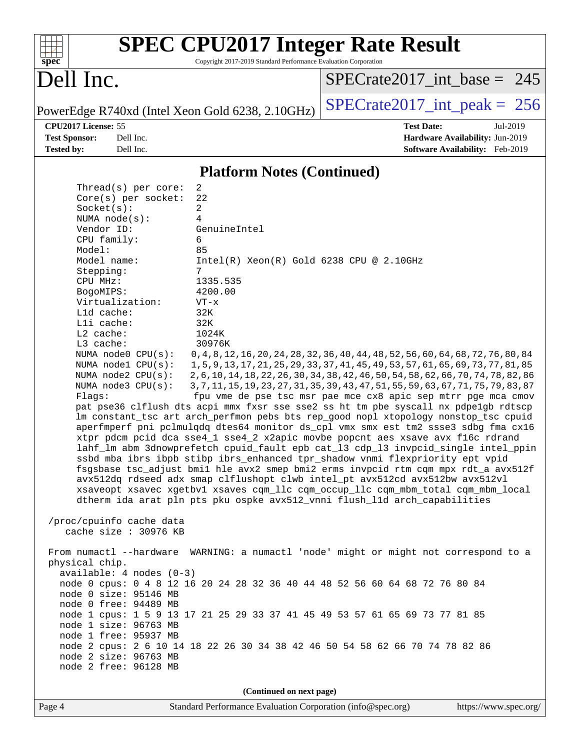

Copyright 2017-2019 Standard Performance Evaluation Corporation

## Dell Inc.

[SPECrate2017\\_int\\_base =](http://www.spec.org/auto/cpu2017/Docs/result-fields.html#SPECrate2017intbase) 245

**[CPU2017 License:](http://www.spec.org/auto/cpu2017/Docs/result-fields.html#CPU2017License)** 55 **[Test Date:](http://www.spec.org/auto/cpu2017/Docs/result-fields.html#TestDate)** Jul-2019

PowerEdge R740xd (Intel Xeon Gold 6238, 2.10GHz)  $\left|$  [SPECrate2017\\_int\\_peak =](http://www.spec.org/auto/cpu2017/Docs/result-fields.html#SPECrate2017intpeak) 256

**[Test Sponsor:](http://www.spec.org/auto/cpu2017/Docs/result-fields.html#TestSponsor)** Dell Inc. **[Hardware Availability:](http://www.spec.org/auto/cpu2017/Docs/result-fields.html#HardwareAvailability)** Jun-2019 **[Tested by:](http://www.spec.org/auto/cpu2017/Docs/result-fields.html#Testedby)** Dell Inc. **[Software Availability:](http://www.spec.org/auto/cpu2017/Docs/result-fields.html#SoftwareAvailability)** Feb-2019

### **[Platform Notes \(Continued\)](http://www.spec.org/auto/cpu2017/Docs/result-fields.html#PlatformNotes)**

| Thread( $s$ ) per core:       | 2                                                                                    |  |  |  |  |
|-------------------------------|--------------------------------------------------------------------------------------|--|--|--|--|
| Core(s) per socket:           | 22                                                                                   |  |  |  |  |
| Socket(s):                    | 2                                                                                    |  |  |  |  |
| NUMA $node(s):$               | 4                                                                                    |  |  |  |  |
| Vendor ID:                    | GenuineIntel                                                                         |  |  |  |  |
| CPU family:                   | 6                                                                                    |  |  |  |  |
| Model:                        | 85                                                                                   |  |  |  |  |
| Model name:                   | $Intel(R) Xeon(R) Gold 6238 CPU @ 2.10GHz$                                           |  |  |  |  |
| Stepping:                     | 7                                                                                    |  |  |  |  |
| CPU MHz:                      | 1335.535                                                                             |  |  |  |  |
| BogoMIPS:                     | 4200.00                                                                              |  |  |  |  |
| Virtualization:<br>L1d cache: | $VT - x$                                                                             |  |  |  |  |
| Lli cache:                    | 32K<br>32K                                                                           |  |  |  |  |
| $L2$ cache:                   | 1024K                                                                                |  |  |  |  |
| L3 cache:                     | 30976K                                                                               |  |  |  |  |
| NUMA node0 CPU(s):            | 0, 4, 8, 12, 16, 20, 24, 28, 32, 36, 40, 44, 48, 52, 56, 60, 64, 68, 72, 76, 80, 84  |  |  |  |  |
| NUMA nodel CPU(s):            | 1, 5, 9, 13, 17, 21, 25, 29, 33, 37, 41, 45, 49, 53, 57, 61, 65, 69, 73, 77, 81, 85  |  |  |  |  |
| NUMA node2 CPU(s):            | 2, 6, 10, 14, 18, 22, 26, 30, 34, 38, 42, 46, 50, 54, 58, 62, 66, 70, 74, 78, 82, 86 |  |  |  |  |
| NUMA node3 CPU(s):            | 3, 7, 11, 15, 19, 23, 27, 31, 35, 39, 43, 47, 51, 55, 59, 63, 67, 71, 75, 79, 83, 87 |  |  |  |  |
| Flaqs:                        | fpu vme de pse tsc msr pae mce cx8 apic sep mtrr pge mca cmov                        |  |  |  |  |
|                               | pat pse36 clflush dts acpi mmx fxsr sse sse2 ss ht tm pbe syscall nx pdpelgb rdtscp  |  |  |  |  |
|                               | lm constant_tsc art arch_perfmon pebs bts rep_good nopl xtopology nonstop_tsc cpuid  |  |  |  |  |
|                               | aperfmperf pni pclmulqdq dtes64 monitor ds_cpl vmx smx est tm2 ssse3 sdbg fma cx16   |  |  |  |  |
|                               | xtpr pdcm pcid dca sse4_1 sse4_2 x2apic movbe popcnt aes xsave avx f16c rdrand       |  |  |  |  |
|                               | lahf_lm abm 3dnowprefetch cpuid_fault epb cat_13 cdp_13 invpcid_single intel_ppin    |  |  |  |  |
|                               | ssbd mba ibrs ibpb stibp ibrs enhanced tpr shadow vnmi flexpriority ept vpid         |  |  |  |  |
|                               | fsgsbase tsc_adjust bmil hle avx2 smep bmi2 erms invpcid rtm cqm mpx rdt_a avx512f   |  |  |  |  |
|                               | avx512dq rdseed adx smap clflushopt clwb intel_pt avx512cd avx512bw avx512vl         |  |  |  |  |
|                               | xsaveopt xsavec xgetbvl xsaves cqm_llc cqm_occup_llc cqm_mbm_total cqm_mbm_local     |  |  |  |  |
|                               | dtherm ida arat pln pts pku ospke avx512_vnni flush_lld arch_capabilities            |  |  |  |  |
|                               |                                                                                      |  |  |  |  |
| /proc/cpuinfo cache data      |                                                                                      |  |  |  |  |
| cache size : 30976 KB         |                                                                                      |  |  |  |  |
|                               |                                                                                      |  |  |  |  |
|                               | From numactl --hardware WARNING: a numactl 'node' might or might not correspond to a |  |  |  |  |
| physical chip.                |                                                                                      |  |  |  |  |
| $available: 4 nodes (0-3)$    |                                                                                      |  |  |  |  |
| node 0 size: 95146 MB         | node 0 cpus: 0 4 8 12 16 20 24 28 32 36 40 44 48 52 56 60 64 68 72 76 80 84          |  |  |  |  |
| node 0 free: 94489 MB         |                                                                                      |  |  |  |  |
|                               | node 1 cpus: 1 5 9 13 17 21 25 29 33 37 41 45 49 53 57 61 65 69 73 77 81 85          |  |  |  |  |
| node 1 size: 96763 MB         |                                                                                      |  |  |  |  |
| node 1 free: 95937 MB         |                                                                                      |  |  |  |  |
|                               | node 2 cpus: 2 6 10 14 18 22 26 30 34 38 42 46 50 54 58 62 66 70 74 78 82 86         |  |  |  |  |
| node 2 size: 96763 MB         |                                                                                      |  |  |  |  |
| node 2 free: 96128 MB         |                                                                                      |  |  |  |  |
|                               |                                                                                      |  |  |  |  |
| (Continued on next page)      |                                                                                      |  |  |  |  |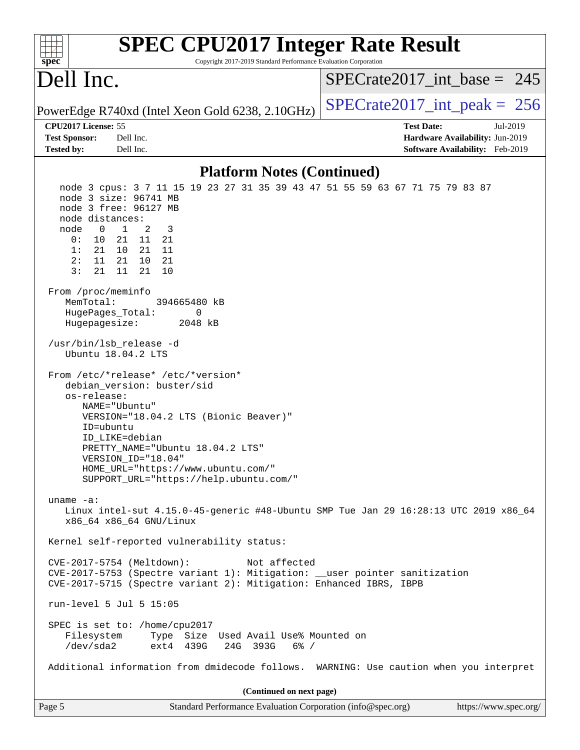| <b>SPEC CPU2017 Integer Rate Result</b><br>Copyright 2017-2019 Standard Performance Evaluation Corporation<br>spec <sup>®</sup>                                                                                                                                                                                                                                                                                                                                                                                                                                                                                                                                                                                                                                                                              |                                                                                                     |
|--------------------------------------------------------------------------------------------------------------------------------------------------------------------------------------------------------------------------------------------------------------------------------------------------------------------------------------------------------------------------------------------------------------------------------------------------------------------------------------------------------------------------------------------------------------------------------------------------------------------------------------------------------------------------------------------------------------------------------------------------------------------------------------------------------------|-----------------------------------------------------------------------------------------------------|
| Dell Inc.                                                                                                                                                                                                                                                                                                                                                                                                                                                                                                                                                                                                                                                                                                                                                                                                    | $SPECrate2017$ int base = 245                                                                       |
| PowerEdge R740xd (Intel Xeon Gold 6238, 2.10GHz)                                                                                                                                                                                                                                                                                                                                                                                                                                                                                                                                                                                                                                                                                                                                                             | $SPECrate2017\_int\_peak = 256$                                                                     |
| CPU2017 License: 55<br>Dell Inc.<br><b>Test Sponsor:</b><br>Dell Inc.<br><b>Tested by:</b>                                                                                                                                                                                                                                                                                                                                                                                                                                                                                                                                                                                                                                                                                                                   | <b>Test Date:</b><br>Jul-2019<br>Hardware Availability: Jun-2019<br>Software Availability: Feb-2019 |
| <b>Platform Notes (Continued)</b>                                                                                                                                                                                                                                                                                                                                                                                                                                                                                                                                                                                                                                                                                                                                                                            |                                                                                                     |
| node 3 cpus: 3 7 11 15 19 23 27 31 35 39 43 47 51 55 59 63 67 71 75 79 83 87<br>node 3 size: 96741 MB<br>node 3 free: 96127 MB<br>node distances:<br>node<br>$\overline{0}$<br>$\mathbf{1}$<br>2<br>3<br>0:<br>10<br>21<br>11<br>21<br>1:<br>-21<br>10<br>21<br>- 11<br>21<br>2:<br>11<br>10 21<br>3:<br>21<br>21<br>11<br>10<br>From /proc/meminfo<br>MemTotal:<br>394665480 kB<br>HugePages_Total:<br>0<br>2048 kB<br>Hugepagesize:<br>/usr/bin/lsb_release -d<br>Ubuntu 18.04.2 LTS<br>From /etc/*release* /etc/*version*<br>debian_version: buster/sid<br>os-release:<br>NAME="Ubuntu"<br>VERSION="18.04.2 LTS (Bionic Beaver)"<br>ID=ubuntu<br>ID LIKE=debian<br>PRETTY_NAME="Ubuntu 18.04.2 LTS"<br>VERSION ID="18.04"<br>HOME_URL="https://www.ubuntu.com/"<br>SUPPORT_URL="https://help.ubuntu.com/" |                                                                                                     |
| uname $-a$ :<br>Linux intel-sut 4.15.0-45-generic #48-Ubuntu SMP Tue Jan 29 16:28:13 UTC 2019 x86_64<br>x86_64 x86_64 GNU/Linux                                                                                                                                                                                                                                                                                                                                                                                                                                                                                                                                                                                                                                                                              |                                                                                                     |
| Kernel self-reported vulnerability status:                                                                                                                                                                                                                                                                                                                                                                                                                                                                                                                                                                                                                                                                                                                                                                   |                                                                                                     |
| CVE-2017-5754 (Meltdown):<br>Not affected<br>CVE-2017-5753 (Spectre variant 1): Mitigation: __user pointer sanitization<br>CVE-2017-5715 (Spectre variant 2): Mitigation: Enhanced IBRS, IBPB                                                                                                                                                                                                                                                                                                                                                                                                                                                                                                                                                                                                                |                                                                                                     |
| run-level 5 Jul 5 15:05                                                                                                                                                                                                                                                                                                                                                                                                                                                                                                                                                                                                                                                                                                                                                                                      |                                                                                                     |
| SPEC is set to: /home/cpu2017<br>Type Size Used Avail Use% Mounted on<br>Filesystem<br>$/\text{dev/sda2}$<br>ext4 439G<br>24G 393G<br>$6\%$ /                                                                                                                                                                                                                                                                                                                                                                                                                                                                                                                                                                                                                                                                |                                                                                                     |
| Additional information from dmidecode follows. WARNING: Use caution when you interpret                                                                                                                                                                                                                                                                                                                                                                                                                                                                                                                                                                                                                                                                                                                       |                                                                                                     |
| (Continued on next page)                                                                                                                                                                                                                                                                                                                                                                                                                                                                                                                                                                                                                                                                                                                                                                                     |                                                                                                     |
| Page 5<br>Standard Performance Evaluation Corporation (info@spec.org)                                                                                                                                                                                                                                                                                                                                                                                                                                                                                                                                                                                                                                                                                                                                        | https://www.spec.org/                                                                               |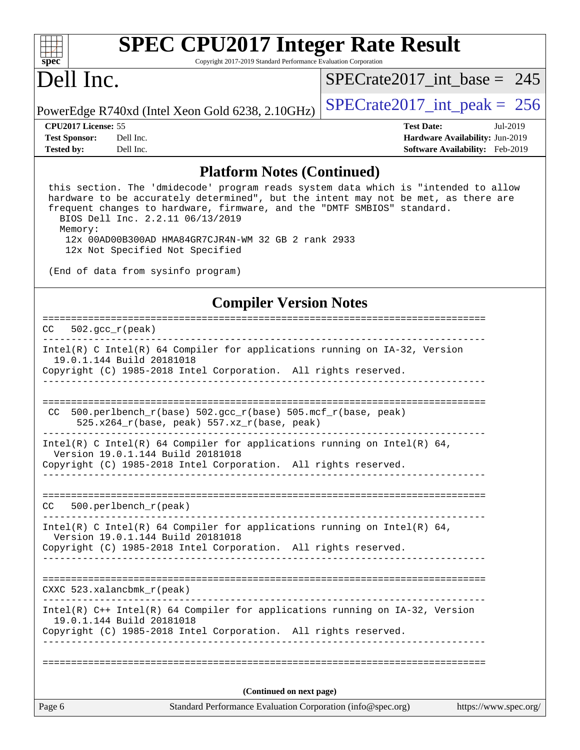

Copyright 2017-2019 Standard Performance Evaluation Corporation

## Dell Inc.

[SPECrate2017\\_int\\_base =](http://www.spec.org/auto/cpu2017/Docs/result-fields.html#SPECrate2017intbase) 245

PowerEdge R740xd (Intel Xeon Gold 6238, 2.10GHz)  $\left|$  [SPECrate2017\\_int\\_peak =](http://www.spec.org/auto/cpu2017/Docs/result-fields.html#SPECrate2017intpeak) 256

**[Tested by:](http://www.spec.org/auto/cpu2017/Docs/result-fields.html#Testedby)** Dell Inc. **[Software Availability:](http://www.spec.org/auto/cpu2017/Docs/result-fields.html#SoftwareAvailability)** Feb-2019

**[CPU2017 License:](http://www.spec.org/auto/cpu2017/Docs/result-fields.html#CPU2017License)** 55 **[Test Date:](http://www.spec.org/auto/cpu2017/Docs/result-fields.html#TestDate)** Jul-2019 **[Test Sponsor:](http://www.spec.org/auto/cpu2017/Docs/result-fields.html#TestSponsor)** Dell Inc. **[Hardware Availability:](http://www.spec.org/auto/cpu2017/Docs/result-fields.html#HardwareAvailability)** Jun-2019

### **[Platform Notes \(Continued\)](http://www.spec.org/auto/cpu2017/Docs/result-fields.html#PlatformNotes)**

 this section. The 'dmidecode' program reads system data which is "intended to allow hardware to be accurately determined", but the intent may not be met, as there are frequent changes to hardware, firmware, and the "DMTF SMBIOS" standard. BIOS Dell Inc. 2.2.11 06/13/2019 Memory: 12x 00AD00B300AD HMA84GR7CJR4N-WM 32 GB 2 rank 2933

12x Not Specified Not Specified

(End of data from sysinfo program)

### **[Compiler Version Notes](http://www.spec.org/auto/cpu2017/Docs/result-fields.html#CompilerVersionNotes)**

| Page 6                                   | Standard Performance Evaluation Corporation (info@spec.org)                                                                                                                      | https://www.spec.org/ |
|------------------------------------------|----------------------------------------------------------------------------------------------------------------------------------------------------------------------------------|-----------------------|
|                                          | (Continued on next page)                                                                                                                                                         |                       |
|                                          |                                                                                                                                                                                  |                       |
|                                          | Copyright (C) 1985-2018 Intel Corporation. All rights reserved.                                                                                                                  |                       |
| 19.0.1.144 Build 20181018                | Intel(R) C++ Intel(R) 64 Compiler for applications running on IA-32, Version                                                                                                     |                       |
| $CXXC$ 523.xalancbm $k_r$ (peak)         |                                                                                                                                                                                  |                       |
|                                          |                                                                                                                                                                                  |                       |
|                                          | Intel(R) C Intel(R) 64 Compiler for applications running on Intel(R) 64,<br>Version 19.0.1.144 Build 20181018<br>Copyright (C) 1985-2018 Intel Corporation. All rights reserved. |                       |
| CC.                                      | 500.perlbench_r(peak)                                                                                                                                                            |                       |
|                                          |                                                                                                                                                                                  |                       |
|                                          | Version 19.0.1.144 Build 20181018<br>Copyright (C) 1985-2018 Intel Corporation. All rights reserved.                                                                             |                       |
|                                          | Intel(R) C Intel(R) 64 Compiler for applications running on Intel(R) 64,                                                                                                         |                       |
| CC.                                      | 500.perlbench_r(base) 502.gcc_r(base) 505.mcf_r(base, peak)<br>525.x264_r(base, peak) 557.xz_r(base, peak)                                                                       |                       |
|                                          |                                                                                                                                                                                  |                       |
| 19.0.1.144 Build 20181018                | Copyright (C) 1985-2018 Intel Corporation. All rights reserved.                                                                                                                  |                       |
|                                          | _____________________________________<br>Intel(R) C Intel(R) 64 Compiler for applications running on IA-32, Version                                                              |                       |
| $502 \text{ qcc } r(\text{peak})$<br>CC. |                                                                                                                                                                                  |                       |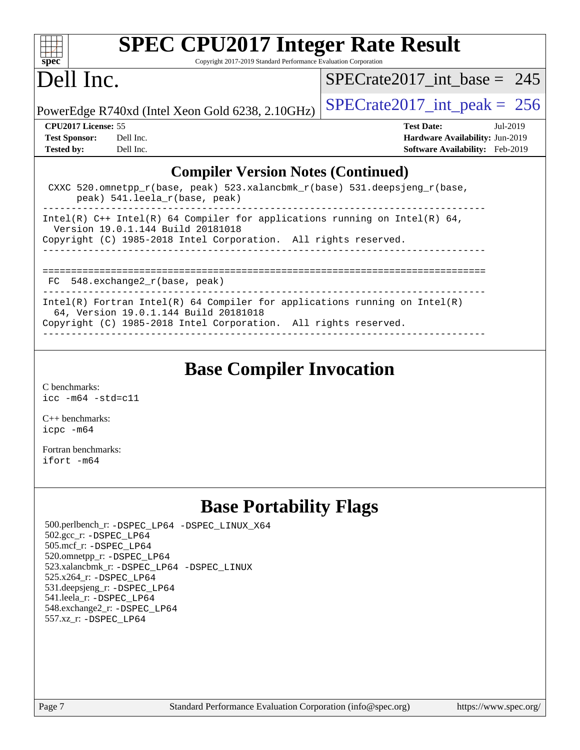

Copyright 2017-2019 Standard Performance Evaluation Corporation

## Dell Inc.

[SPECrate2017\\_int\\_base =](http://www.spec.org/auto/cpu2017/Docs/result-fields.html#SPECrate2017intbase) 245

PowerEdge R740xd (Intel Xeon Gold 6238, 2.10GHz)  $\left|$  [SPECrate2017\\_int\\_peak =](http://www.spec.org/auto/cpu2017/Docs/result-fields.html#SPECrate2017intpeak) 256

**[Tested by:](http://www.spec.org/auto/cpu2017/Docs/result-fields.html#Testedby)** Dell Inc. **[Software Availability:](http://www.spec.org/auto/cpu2017/Docs/result-fields.html#SoftwareAvailability)** Feb-2019

**[CPU2017 License:](http://www.spec.org/auto/cpu2017/Docs/result-fields.html#CPU2017License)** 55 **[Test Date:](http://www.spec.org/auto/cpu2017/Docs/result-fields.html#TestDate)** Jul-2019 **[Test Sponsor:](http://www.spec.org/auto/cpu2017/Docs/result-fields.html#TestSponsor)** Dell Inc. **[Hardware Availability:](http://www.spec.org/auto/cpu2017/Docs/result-fields.html#HardwareAvailability)** Jun-2019

### **[Compiler Version Notes \(Continued\)](http://www.spec.org/auto/cpu2017/Docs/result-fields.html#CompilerVersionNotes)**

| CXXC 520.omnetpp $r(base, peak)$ 523.xalancbmk $r(base)$ 531.deepsjeng $r(base)$ ,<br>peak) 541. leela r(base, peak)            |  |  |  |  |
|---------------------------------------------------------------------------------------------------------------------------------|--|--|--|--|
| Intel(R) $C++$ Intel(R) 64 Compiler for applications running on Intel(R) 64,<br>Version 19.0.1.144 Build 20181018               |  |  |  |  |
| Copyright (C) 1985-2018 Intel Corporation. All rights reserved.                                                                 |  |  |  |  |
|                                                                                                                                 |  |  |  |  |
|                                                                                                                                 |  |  |  |  |
| FC 548.exchange2 r(base, peak)                                                                                                  |  |  |  |  |
| Intel(R) Fortran Intel(R) 64 Compiler for applications running on Intel(R)<br>64, Version 19.0.1.144 Build 20181018<br>$\alpha$ |  |  |  |  |

Copyright (C) 1985-2018 Intel Corporation. All rights reserved. ------------------------------------------------------------------------------

## **[Base Compiler Invocation](http://www.spec.org/auto/cpu2017/Docs/result-fields.html#BaseCompilerInvocation)**

[C benchmarks](http://www.spec.org/auto/cpu2017/Docs/result-fields.html#Cbenchmarks): [icc -m64 -std=c11](http://www.spec.org/cpu2017/results/res2019q3/cpu2017-20190708-15955.flags.html#user_CCbase_intel_icc_64bit_c11_33ee0cdaae7deeeab2a9725423ba97205ce30f63b9926c2519791662299b76a0318f32ddfffdc46587804de3178b4f9328c46fa7c2b0cd779d7a61945c91cd35)

[C++ benchmarks:](http://www.spec.org/auto/cpu2017/Docs/result-fields.html#CXXbenchmarks) [icpc -m64](http://www.spec.org/cpu2017/results/res2019q3/cpu2017-20190708-15955.flags.html#user_CXXbase_intel_icpc_64bit_4ecb2543ae3f1412ef961e0650ca070fec7b7afdcd6ed48761b84423119d1bf6bdf5cad15b44d48e7256388bc77273b966e5eb805aefd121eb22e9299b2ec9d9)

[Fortran benchmarks](http://www.spec.org/auto/cpu2017/Docs/result-fields.html#Fortranbenchmarks): [ifort -m64](http://www.spec.org/cpu2017/results/res2019q3/cpu2017-20190708-15955.flags.html#user_FCbase_intel_ifort_64bit_24f2bb282fbaeffd6157abe4f878425411749daecae9a33200eee2bee2fe76f3b89351d69a8130dd5949958ce389cf37ff59a95e7a40d588e8d3a57e0c3fd751)

## **[Base Portability Flags](http://www.spec.org/auto/cpu2017/Docs/result-fields.html#BasePortabilityFlags)**

 500.perlbench\_r: [-DSPEC\\_LP64](http://www.spec.org/cpu2017/results/res2019q3/cpu2017-20190708-15955.flags.html#b500.perlbench_r_basePORTABILITY_DSPEC_LP64) [-DSPEC\\_LINUX\\_X64](http://www.spec.org/cpu2017/results/res2019q3/cpu2017-20190708-15955.flags.html#b500.perlbench_r_baseCPORTABILITY_DSPEC_LINUX_X64) 502.gcc\_r: [-DSPEC\\_LP64](http://www.spec.org/cpu2017/results/res2019q3/cpu2017-20190708-15955.flags.html#suite_basePORTABILITY502_gcc_r_DSPEC_LP64) 505.mcf\_r: [-DSPEC\\_LP64](http://www.spec.org/cpu2017/results/res2019q3/cpu2017-20190708-15955.flags.html#suite_basePORTABILITY505_mcf_r_DSPEC_LP64) 520.omnetpp\_r: [-DSPEC\\_LP64](http://www.spec.org/cpu2017/results/res2019q3/cpu2017-20190708-15955.flags.html#suite_basePORTABILITY520_omnetpp_r_DSPEC_LP64) 523.xalancbmk\_r: [-DSPEC\\_LP64](http://www.spec.org/cpu2017/results/res2019q3/cpu2017-20190708-15955.flags.html#suite_basePORTABILITY523_xalancbmk_r_DSPEC_LP64) [-DSPEC\\_LINUX](http://www.spec.org/cpu2017/results/res2019q3/cpu2017-20190708-15955.flags.html#b523.xalancbmk_r_baseCXXPORTABILITY_DSPEC_LINUX) 525.x264\_r: [-DSPEC\\_LP64](http://www.spec.org/cpu2017/results/res2019q3/cpu2017-20190708-15955.flags.html#suite_basePORTABILITY525_x264_r_DSPEC_LP64) 531.deepsjeng\_r: [-DSPEC\\_LP64](http://www.spec.org/cpu2017/results/res2019q3/cpu2017-20190708-15955.flags.html#suite_basePORTABILITY531_deepsjeng_r_DSPEC_LP64) 541.leela\_r: [-DSPEC\\_LP64](http://www.spec.org/cpu2017/results/res2019q3/cpu2017-20190708-15955.flags.html#suite_basePORTABILITY541_leela_r_DSPEC_LP64) 548.exchange2\_r: [-DSPEC\\_LP64](http://www.spec.org/cpu2017/results/res2019q3/cpu2017-20190708-15955.flags.html#suite_basePORTABILITY548_exchange2_r_DSPEC_LP64) 557.xz\_r: [-DSPEC\\_LP64](http://www.spec.org/cpu2017/results/res2019q3/cpu2017-20190708-15955.flags.html#suite_basePORTABILITY557_xz_r_DSPEC_LP64)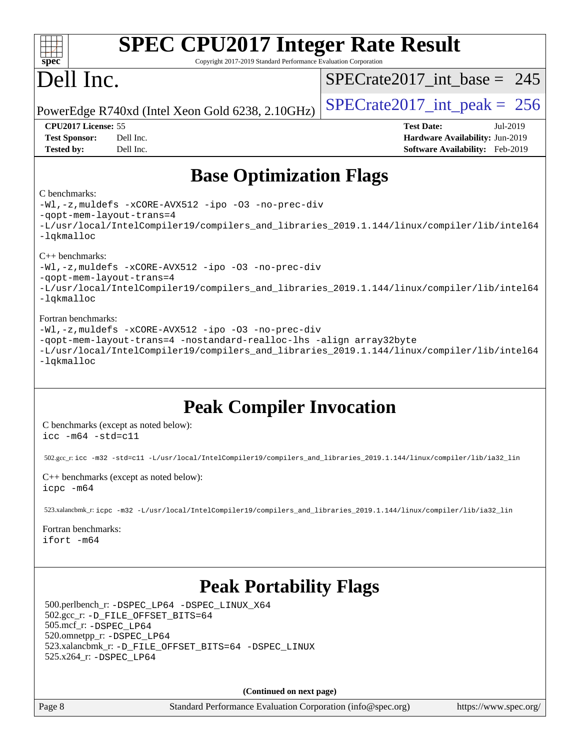| spec <sup>®</sup>                                                                                                                                                                                                                                              | <b>SPEC CPU2017 Integer Rate Result</b><br>Copyright 2017-2019 Standard Performance Evaluation Corporation                                                                                                                               |                                                                                                                                                                                                                                                                                        |  |  |  |
|----------------------------------------------------------------------------------------------------------------------------------------------------------------------------------------------------------------------------------------------------------------|------------------------------------------------------------------------------------------------------------------------------------------------------------------------------------------------------------------------------------------|----------------------------------------------------------------------------------------------------------------------------------------------------------------------------------------------------------------------------------------------------------------------------------------|--|--|--|
| Dell Inc.                                                                                                                                                                                                                                                      |                                                                                                                                                                                                                                          | $SPECrate2017\_int\_base = 245$                                                                                                                                                                                                                                                        |  |  |  |
| PowerEdge R740xd (Intel Xeon Gold 6238, 2.10GHz)                                                                                                                                                                                                               |                                                                                                                                                                                                                                          | $SPECrate2017\_int\_peak = 256$                                                                                                                                                                                                                                                        |  |  |  |
| CPU2017 License: 55<br><b>Test Sponsor:</b><br><b>Tested by:</b>                                                                                                                                                                                               | Dell Inc.<br>Dell Inc.                                                                                                                                                                                                                   | <b>Test Date:</b><br>Jul-2019<br>Hardware Availability: Jun-2019<br>Software Availability: Feb-2019                                                                                                                                                                                    |  |  |  |
|                                                                                                                                                                                                                                                                | <b>Base Optimization Flags</b>                                                                                                                                                                                                           |                                                                                                                                                                                                                                                                                        |  |  |  |
| C benchmarks:<br>-qopt-mem-layout-trans=4<br>-lqkmalloc<br>$C_{++}$ benchmarks:<br>-qopt-mem-layout-trans=4<br>-lqkmalloc<br>Fortran benchmarks:<br>-lqkmalloc                                                                                                 | -Wl,-z, muldefs -xCORE-AVX512 -ipo -03 -no-prec-div<br>-Wl,-z, muldefs -xCORE-AVX512 -ipo -03 -no-prec-div<br>-Wl,-z, muldefs -xCORE-AVX512 -ipo -03 -no-prec-div<br>-qopt-mem-layout-trans=4 -nostandard-realloc-lhs -align array32byte | -L/usr/local/IntelCompiler19/compilers_and_libraries_2019.1.144/linux/compiler/lib/intel64<br>-L/usr/local/IntelCompiler19/compilers_and_libraries_2019.1.144/linux/compiler/lib/intel64<br>-L/usr/local/IntelCompiler19/compilers_and_libraries_2019.1.144/linux/compiler/lib/intel64 |  |  |  |
| $\text{icc -m64 -std=cl1}$                                                                                                                                                                                                                                     | <b>Peak Compiler Invocation</b><br>C benchmarks (except as noted below):                                                                                                                                                                 |                                                                                                                                                                                                                                                                                        |  |  |  |
|                                                                                                                                                                                                                                                                | 502.gcc_r: icc -m32 -std=cl1 -L/usr/local/IntelCompiler19/compilers_and_libraries_2019.1.144/linux/compiler/lib/ia32_lin                                                                                                                 |                                                                                                                                                                                                                                                                                        |  |  |  |
| icpc -m64                                                                                                                                                                                                                                                      | $C++$ benchmarks (except as noted below):                                                                                                                                                                                                |                                                                                                                                                                                                                                                                                        |  |  |  |
|                                                                                                                                                                                                                                                                | 523.xalancbmk_r: icpc -m32 -L/usr/local/IntelCompiler19/compilers_and_libraries_2019.1.144/linux/compiler/lib/ia32_lin                                                                                                                   |                                                                                                                                                                                                                                                                                        |  |  |  |
| Fortran benchmarks:<br>ifort -m64                                                                                                                                                                                                                              |                                                                                                                                                                                                                                          |                                                                                                                                                                                                                                                                                        |  |  |  |
| <b>Peak Portability Flags</b><br>500.perlbench_r: -DSPEC_LP64 -DSPEC_LINUX_X64<br>502.gcc_r: -D_FILE_OFFSET_BITS=64<br>505.mcf_r: -DSPEC_LP64<br>520.omnetpp_r: -DSPEC_LP64<br>523.xalancbmk_r: -D_FILE_OFFSET_BITS=64 -DSPEC_LINUX<br>525.x264_r: -DSPEC_LP64 |                                                                                                                                                                                                                                          |                                                                                                                                                                                                                                                                                        |  |  |  |
|                                                                                                                                                                                                                                                                | (Continued on next page)                                                                                                                                                                                                                 |                                                                                                                                                                                                                                                                                        |  |  |  |
| Page 8                                                                                                                                                                                                                                                         | Standard Performance Evaluation Corporation (info@spec.org)                                                                                                                                                                              | https://www.spec.org/                                                                                                                                                                                                                                                                  |  |  |  |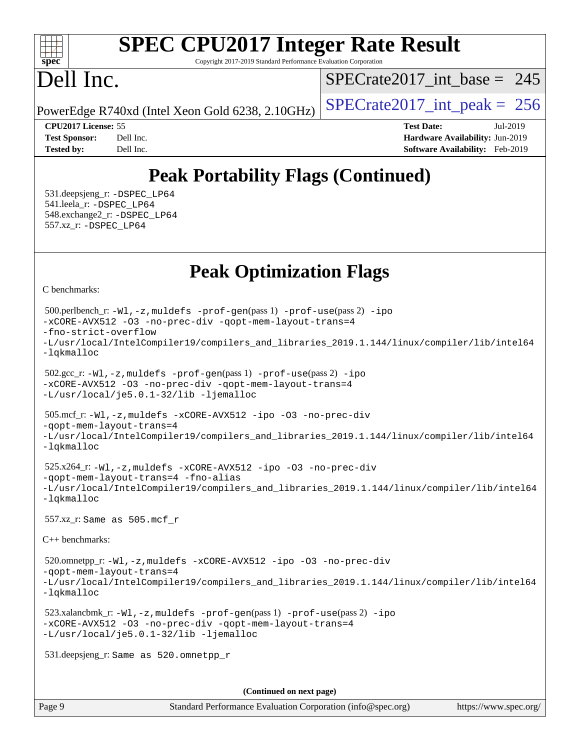### $+\ +$ **[spec](http://www.spec.org/)**

# **[SPEC CPU2017 Integer Rate Result](http://www.spec.org/auto/cpu2017/Docs/result-fields.html#SPECCPU2017IntegerRateResult)**

Copyright 2017-2019 Standard Performance Evaluation Corporation

## Dell Inc.

[SPECrate2017\\_int\\_base =](http://www.spec.org/auto/cpu2017/Docs/result-fields.html#SPECrate2017intbase) 245

PowerEdge R740xd (Intel Xeon Gold 6238, 2.10GHz)  $\left|$  [SPECrate2017\\_int\\_peak =](http://www.spec.org/auto/cpu2017/Docs/result-fields.html#SPECrate2017intpeak) 256

**[CPU2017 License:](http://www.spec.org/auto/cpu2017/Docs/result-fields.html#CPU2017License)** 55 **[Test Date:](http://www.spec.org/auto/cpu2017/Docs/result-fields.html#TestDate)** Jul-2019 **[Test Sponsor:](http://www.spec.org/auto/cpu2017/Docs/result-fields.html#TestSponsor)** Dell Inc. **[Hardware Availability:](http://www.spec.org/auto/cpu2017/Docs/result-fields.html#HardwareAvailability)** Jun-2019 **[Tested by:](http://www.spec.org/auto/cpu2017/Docs/result-fields.html#Testedby)** Dell Inc. **[Software Availability:](http://www.spec.org/auto/cpu2017/Docs/result-fields.html#SoftwareAvailability)** Feb-2019

## **[Peak Portability Flags \(Continued\)](http://www.spec.org/auto/cpu2017/Docs/result-fields.html#PeakPortabilityFlags)**

 531.deepsjeng\_r: [-DSPEC\\_LP64](http://www.spec.org/cpu2017/results/res2019q3/cpu2017-20190708-15955.flags.html#suite_peakPORTABILITY531_deepsjeng_r_DSPEC_LP64) 541.leela\_r: [-DSPEC\\_LP64](http://www.spec.org/cpu2017/results/res2019q3/cpu2017-20190708-15955.flags.html#suite_peakPORTABILITY541_leela_r_DSPEC_LP64) 548.exchange2\_r: [-DSPEC\\_LP64](http://www.spec.org/cpu2017/results/res2019q3/cpu2017-20190708-15955.flags.html#suite_peakPORTABILITY548_exchange2_r_DSPEC_LP64) 557.xz\_r: [-DSPEC\\_LP64](http://www.spec.org/cpu2017/results/res2019q3/cpu2017-20190708-15955.flags.html#suite_peakPORTABILITY557_xz_r_DSPEC_LP64)

## **[Peak Optimization Flags](http://www.spec.org/auto/cpu2017/Docs/result-fields.html#PeakOptimizationFlags)**

[C benchmarks](http://www.spec.org/auto/cpu2017/Docs/result-fields.html#Cbenchmarks):

```
(info@spec.org)https://www.spec.org/
  500.perlbench_r: -Wl,-z,muldefs -prof-gen(pass 1) -prof-use(pass 2) -ipo
-xCORE-AVX512 -O3 -no-prec-div -qopt-mem-layout-trans=4
-fno-strict-overflow
-L/usr/local/IntelCompiler19/compilers_and_libraries_2019.1.144/linux/compiler/lib/intel64
-lqkmalloc
  502.gcc_r: -Wl,-z,muldefs -prof-gen(pass 1) -prof-use(pass 2) -ipo
-xCORE-AVX512 -O3 -no-prec-div -qopt-mem-layout-trans=4
-L/usr/local/je5.0.1-32/lib -ljemalloc
  505.mcf_r: -Wl,-z,muldefs -xCORE-AVX512 -ipo -O3 -no-prec-div
-qopt-mem-layout-trans=4
-L/usr/local/IntelCompiler19/compilers_and_libraries_2019.1.144/linux/compiler/lib/intel64
-lqkmalloc
  525.x264_r: -Wl,-z,muldefs -xCORE-AVX512 -ipo -O3 -no-prec-div
-qopt-mem-layout-trans=4 -fno-alias
-L/usr/local/IntelCompiler19/compilers_and_libraries_2019.1.144/linux/compiler/lib/intel64
-lqkmalloc
  557.xz_r: Same as 505.mcf_r
C++ benchmarks: 
  520.omnetpp_r: -Wl,-z,muldefs -xCORE-AVX512 -ipo -O3 -no-prec-div
-qopt-mem-layout-trans=4
-L/usr/local/IntelCompiler19/compilers_and_libraries_2019.1.144/linux/compiler/lib/intel64
-lqkmalloc
  523.xalancbmk_r: -Wl,-z,muldefs -prof-gen(pass 1) -prof-use(pass 2) -ipo
-xCORE-AVX512 -O3 -no-prec-div -qopt-mem-layout-trans=4
-L/usr/local/je5.0.1-32/lib -ljemalloc
  531.deepsjeng_r: Same as 520.omnetpp_r
                                     (Continued on next page)
```